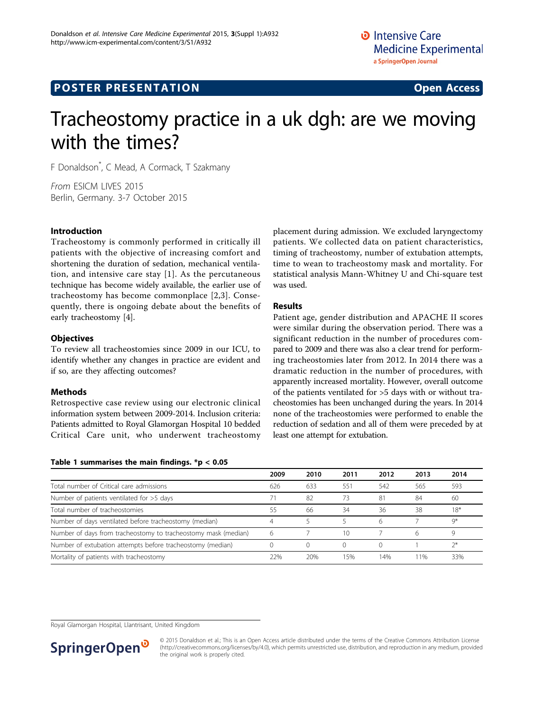## **POSTER PRESENTATION CONSUMING ACCESS**

# Tracheostomy practice in a uk dgh: are we moving with the times?

F Donaldson\* , C Mead, A Cormack, T Szakmany

From ESICM LIVES 2015 Berlin, Germany. 3-7 October 2015

## Introduction

Tracheostomy is commonly performed in critically ill patients with the objective of increasing comfort and shortening the duration of sedation, mechanical ventilation, and intensive care stay [[1\]](#page-1-0). As the percutaneous technique has become widely available, the earlier use of tracheostomy has become commonplace [[2,3](#page-1-0)]. Consequently, there is ongoing debate about the benefits of early tracheostomy [\[4](#page-1-0)].

#### **Objectives**

To review all tracheostomies since 2009 in our ICU, to identify whether any changes in practice are evident and if so, are they affecting outcomes?

#### Methods

Retrospective case review using our electronic clinical information system between 2009-2014. Inclusion criteria: Patients admitted to Royal Glamorgan Hospital 10 bedded Critical Care unit, who underwent tracheostomy

#### Table 1 summarises the main findings.  $* p < 0.05$

placement during admission. We excluded laryngectomy patients. We collected data on patient characteristics, timing of tracheostomy, number of extubation attempts, time to wean to tracheostomy mask and mortality. For statistical analysis Mann-Whitney U and Chi-square test was used.

## Results

Patient age, gender distribution and APACHE II scores were similar during the observation period. There was a significant reduction in the number of procedures compared to 2009 and there was also a clear trend for performing tracheostomies later from 2012. In 2014 there was a dramatic reduction in the number of procedures, with apparently increased mortality. However, overall outcome of the patients ventilated for >5 days with or without tracheostomies has been unchanged during the years. In 2014 none of the tracheostomies were performed to enable the reduction of sedation and all of them were preceded by at least one attempt for extubation.

|                                                                | 2009 | 2010 | 2011 | 2012 | 2013 | 2014  |
|----------------------------------------------------------------|------|------|------|------|------|-------|
| Total number of Critical care admissions                       | 626  | 633  | 551  | 542  | 565  | 593   |
| Number of patients ventilated for $>5$ days                    |      | 82   | 73   | 81   | 84   | 60    |
| Total number of tracheostomies                                 | 55   | 66   | 34   | 36   | 38   | $18*$ |
| Number of days ventilated before tracheostomy (median)         |      |      |      | 6    |      | $Q^*$ |
| Number of days from tracheostomy to tracheostomy mask (median) | 6    |      | 10   |      | 6    | Q     |
| Number of extubation attempts before tracheostomy (median)     |      |      |      |      |      | $7*$  |
| Mortality of patients with tracheostomy                        | 22%  | 20%  | 15%  | 14%  | 11%  | 33%   |

Royal Glamorgan Hospital, Llantrisant, United Kingdom



<sup>© 2015</sup> Donaldson et al.; This is an Open Access article distributed under the terms of the Creative Commons Attribution License [\(http://creativecommons.org/licenses/by/4.0](http://creativecommons.org/licenses/by/4.0)), which permits unrestricted use, distribution, and reproduction in any medium, provided the original work is properly cited.